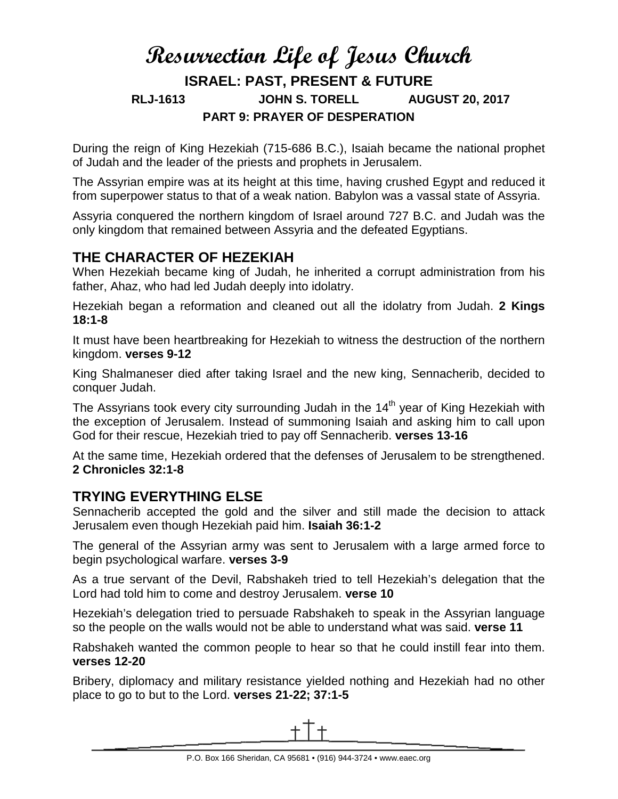# **Resurrection Life of Jesus Church ISRAEL: PAST, PRESENT & FUTURE RLJ-1613 JOHN S. TORELL AUGUST 20, 2017 PART 9: PRAYER OF DESPERATION**

During the reign of King Hezekiah (715-686 B.C.), Isaiah became the national prophet of Judah and the leader of the priests and prophets in Jerusalem.

The Assyrian empire was at its height at this time, having crushed Egypt and reduced it from superpower status to that of a weak nation. Babylon was a vassal state of Assyria.

Assyria conquered the northern kingdom of Israel around 727 B.C. and Judah was the only kingdom that remained between Assyria and the defeated Egyptians.

# **THE CHARACTER OF HEZEKIAH**

When Hezekiah became king of Judah, he inherited a corrupt administration from his father, Ahaz, who had led Judah deeply into idolatry.

Hezekiah began a reformation and cleaned out all the idolatry from Judah. **2 Kings 18:1-8**

It must have been heartbreaking for Hezekiah to witness the destruction of the northern kingdom. **verses 9-12**

King Shalmaneser died after taking Israel and the new king, Sennacherib, decided to conquer Judah.

The Assyrians took every city surrounding Judah in the  $14<sup>th</sup>$  year of King Hezekiah with the exception of Jerusalem. Instead of summoning Isaiah and asking him to call upon God for their rescue, Hezekiah tried to pay off Sennacherib. **verses 13-16**

At the same time, Hezekiah ordered that the defenses of Jerusalem to be strengthened. **2 Chronicles 32:1-8**

### **TRYING EVERYTHING ELSE**

Sennacherib accepted the gold and the silver and still made the decision to attack Jerusalem even though Hezekiah paid him. **Isaiah 36:1-2**

The general of the Assyrian army was sent to Jerusalem with a large armed force to begin psychological warfare. **verses 3-9**

As a true servant of the Devil, Rabshakeh tried to tell Hezekiah's delegation that the Lord had told him to come and destroy Jerusalem. **verse 10**

Hezekiah's delegation tried to persuade Rabshakeh to speak in the Assyrian language so the people on the walls would not be able to understand what was said. **verse 11**

Rabshakeh wanted the common people to hear so that he could instill fear into them. **verses 12-20**

Bribery, diplomacy and military resistance yielded nothing and Hezekiah had no other place to go to but to the Lord. **verses 21-22; 37:1-5**